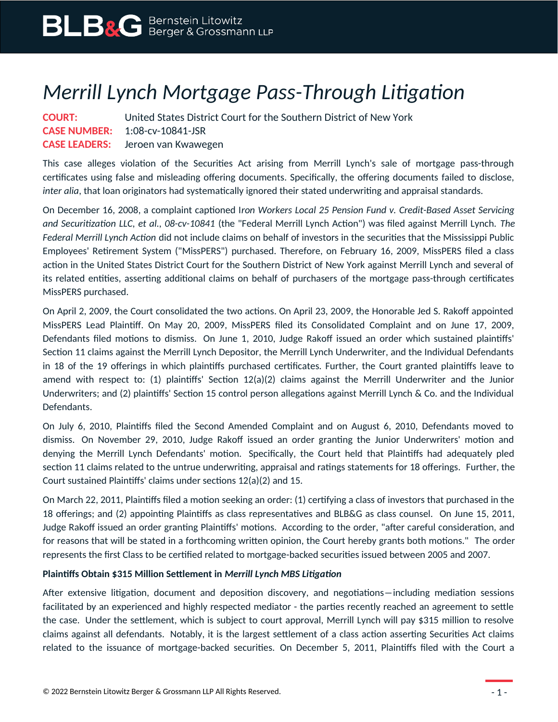## *Merrill Lynch Mortgage Pass-Through Litigation*

| <b>COURT:</b> | United States District Court for the Southern District of New York |
|---------------|--------------------------------------------------------------------|
|               | <b>CASE NUMBER: 1:08-cv-10841-JSR</b>                              |
|               | <b>CASE LEADERS:</b> Jeroen van Kwawegen                           |

This case alleges violation of the Securities Act arising from Merrill Lynch's sale of mortgage pass-through certificates using false and misleading offering documents. Specifically, the offering documents failed to disclose, *inter alia*, that loan originators had systematically ignored their stated underwriting and appraisal standards.

On December 16, 2008, a complaint captioned I*ron Workers Local 25 Pension Fund v. Credit-Based Asset Servicing and Securitization LLC, et al., 08-cv-10841* (the "Federal Merrill Lynch Action") was filed against Merrill Lynch. *The Federal Merrill Lynch Action* did not include claims on behalf of investors in the securities that the Mississippi Public Employees' Retirement System ("MissPERS") purchased. Therefore, on February 16, 2009, MissPERS filed a class action in the United States District Court for the Southern District of New York against Merrill Lynch and several of its related entities, asserting additional claims on behalf of purchasers of the mortgage pass-through certificates MissPERS purchased.

On April 2, 2009, the Court consolidated the two actions. On April 23, 2009, the Honorable Jed S. Rakoff appointed MissPERS Lead Plaintiff. On May 20, 2009, MissPERS filed its Consolidated Complaint and on June 17, 2009, Defendants filed motions to dismiss. On June 1, 2010, Judge Rakoff issued an order which sustained plaintiffs' Section 11 claims against the Merrill Lynch Depositor, the Merrill Lynch Underwriter, and the Individual Defendants in 18 of the 19 offerings in which plaintiffs purchased certificates. Further, the Court granted plaintiffs leave to amend with respect to: (1) plaintiffs' Section 12(a)(2) claims against the Merrill Underwriter and the Junior Underwriters; and (2) plaintiffs' Section 15 control person allegations against Merrill Lynch & Co. and the Individual Defendants.

On July 6, 2010, Plaintiffs filed the Second Amended Complaint and on August 6, 2010, Defendants moved to dismiss. On November 29, 2010, Judge Rakoff issued an order granting the Junior Underwriters' motion and denying the Merrill Lynch Defendants' motion. Specifically, the Court held that Plaintiffs had adequately pled section 11 claims related to the untrue underwriting, appraisal and ratings statements for 18 offerings. Further, the Court sustained Plaintiffs' claims under sections 12(a)(2) and 15.

On March 22, 2011, Plaintiffs filed a motion seeking an order: (1) certifying a class of investors that purchased in the 18 offerings; and (2) appointing Plaintiffs as class representatives and BLB&G as class counsel. On June 15, 2011, Judge Rakoff issued an order granting Plaintiffs' motions. According to the order, "after careful consideration, and for reasons that will be stated in a forthcoming written opinion, the Court hereby grants both motions." The order represents the first Class to be certified related to mortgage-backed securities issued between 2005 and 2007.

## **Plaintiffs Obtain \$315 Million Settlement in** *Merrill Lynch MBS Litigation*

After extensive litigation, document and deposition discovery, and negotiations―including mediation sessions facilitated by an experienced and highly respected mediator - the parties recently reached an agreement to settle the case. Under the settlement, which is subject to court approval, Merrill Lynch will pay \$315 million to resolve claims against all defendants. Notably, it is the largest settlement of a class action asserting Securities Act claims related to the issuance of mortgage-backed securities. On December 5, 2011, Plaintiffs filed with the Court a